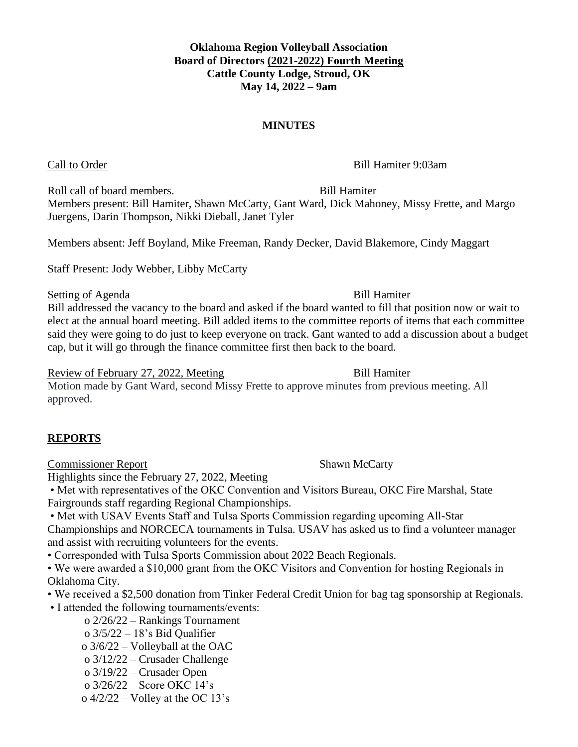**Oklahoma Region Volleyball Association Board of Directors (2021-2022) Fourth Meeting Cattle County Lodge, Stroud, OK May 14, 2022 – 9am**

### **MINUTES**

Call to Order Bill Hamiter 9:03am

Roll call of board members. Bill Hamiter Members present: Bill Hamiter, Shawn McCarty, Gant Ward, Dick Mahoney, Missy Frette, and Margo Juergens, Darin Thompson, Nikki Dieball, Janet Tyler

Members absent: Jeff Boyland, Mike Freeman, Randy Decker, David Blakemore, Cindy Maggart

Staff Present: Jody Webber, Libby McCarty

### Setting of Agenda Bill Hamiter

Bill addressed the vacancy to the board and asked if the board wanted to fill that position now or wait to elect at the annual board meeting. Bill added items to the committee reports of items that each committee said they were going to do just to keep everyone on track. Gant wanted to add a discussion about a budget cap, but it will go through the finance committee first then back to the board.

Review of February 27, 2022, Meeting Bill Hamiter

Motion made by Gant Ward, second Missy Frette to approve minutes from previous meeting. All approved.

### **REPORTS**

**Commissioner Report Shawn McCarty** 

Highlights since the February 27, 2022, Meeting

• Met with representatives of the OKC Convention and Visitors Bureau, OKC Fire Marshal, State Fairgrounds staff regarding Regional Championships.

• Met with USAV Events Staff and Tulsa Sports Commission regarding upcoming All-Star Championships and NORCECA tournaments in Tulsa. USAV has asked us to find a volunteer manager and assist with recruiting volunteers for the events.

• Corresponded with Tulsa Sports Commission about 2022 Beach Regionals.

• We were awarded a \$10,000 grant from the OKC Visitors and Convention for hosting Regionals in Oklahoma City.

• We received a \$2,500 donation from Tinker Federal Credit Union for bag tag sponsorship at Regionals.

• I attended the following tournaments/events:

- o 2/26/22 Rankings Tournament
- o 3/5/22 18's Bid Qualifier
- o 3/6/22 Volleyball at the OAC
- o 3/12/22 Crusader Challenge
- o 3/19/22 Crusader Open
- o 3/26/22 Score OKC 14's

o  $4/2/22$  – Volley at the OC 13's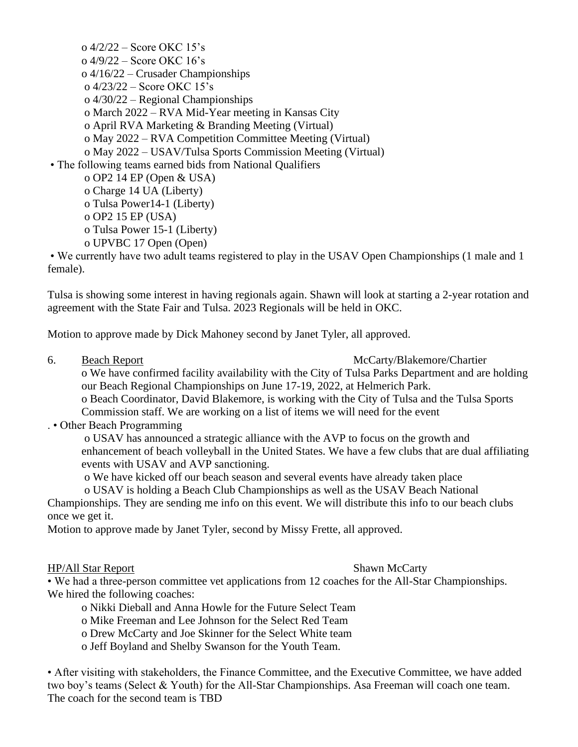o 4/2/22 – Score OKC 15's o 4/9/22 – Score OKC 16's o 4/16/22 – Crusader Championships o 4/23/22 – Score OKC 15's o 4/30/22 – Regional Championships o March 2022 – RVA Mid-Year meeting in Kansas City o April RVA Marketing & Branding Meeting (Virtual) o May 2022 – RVA Competition Committee Meeting (Virtual) o May 2022 – USAV/Tulsa Sports Commission Meeting (Virtual) • The following teams earned bids from National Qualifiers o OP2 14 EP (Open & USA)

o Charge 14 UA (Liberty) o Tulsa Power14-1 (Liberty) o OP2 15 EP (USA)

o Tulsa Power 15-1 (Liberty)

o UPVBC 17 Open (Open)

• We currently have two adult teams registered to play in the USAV Open Championships (1 male and 1 female).

Tulsa is showing some interest in having regionals again. Shawn will look at starting a 2-year rotation and agreement with the State Fair and Tulsa. 2023 Regionals will be held in OKC.

Motion to approve made by Dick Mahoney second by Janet Tyler, all approved.

6. Beach Report McCarty/Blakemore/Chartier

o We have confirmed facility availability with the City of Tulsa Parks Department and are holding our Beach Regional Championships on June 17-19, 2022, at Helmerich Park.

o Beach Coordinator, David Blakemore, is working with the City of Tulsa and the Tulsa Sports Commission staff. We are working on a list of items we will need for the event

### . • Other Beach Programming

o USAV has announced a strategic alliance with the AVP to focus on the growth and enhancement of beach volleyball in the United States. We have a few clubs that are dual affiliating events with USAV and AVP sanctioning.

o We have kicked off our beach season and several events have already taken place

o USAV is holding a Beach Club Championships as well as the USAV Beach National

Championships. They are sending me info on this event. We will distribute this info to our beach clubs once we get it.

Motion to approve made by Janet Tyler, second by Missy Frette, all approved.

### HP/All Star Report Shawn McCarty

• We had a three-person committee vet applications from 12 coaches for the All-Star Championships. We hired the following coaches:

- o Nikki Dieball and Anna Howle for the Future Select Team
- o Mike Freeman and Lee Johnson for the Select Red Team
- o Drew McCarty and Joe Skinner for the Select White team

o Jeff Boyland and Shelby Swanson for the Youth Team.

• After visiting with stakeholders, the Finance Committee, and the Executive Committee, we have added two boy's teams (Select & Youth) for the All-Star Championships. Asa Freeman will coach one team. The coach for the second team is TBD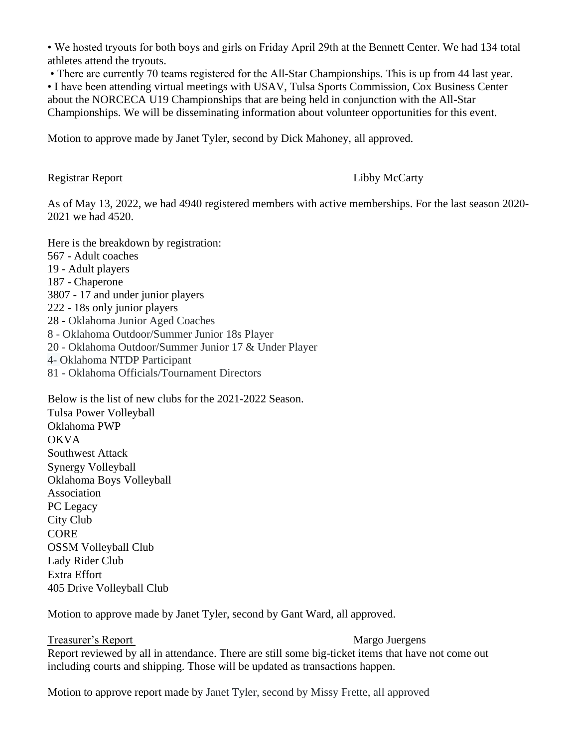• We hosted tryouts for both boys and girls on Friday April 29th at the Bennett Center. We had 134 total athletes attend the tryouts.

• There are currently 70 teams registered for the All-Star Championships. This is up from 44 last year.

• I have been attending virtual meetings with USAV, Tulsa Sports Commission, Cox Business Center about the NORCECA U19 Championships that are being held in conjunction with the All-Star Championships. We will be disseminating information about volunteer opportunities for this event.

Motion to approve made by Janet Tyler, second by Dick Mahoney, all approved.

### Registrar Report Libby McCarty

As of May 13, 2022, we had 4940 registered members with active memberships. For the last season 2020- 2021 we had 4520.

Here is the breakdown by registration: 567 - Adult coaches 19 - Adult players 187 - Chaperone 3807 - 17 and under junior players 222 - 18s only junior players 28 - Oklahoma Junior Aged Coaches 8 - Oklahoma Outdoor/Summer Junior 18s Player 20 - Oklahoma Outdoor/Summer Junior 17 & Under Player 4- Oklahoma NTDP Participant 81 - Oklahoma Officials/Tournament Directors

Below is the list of new clubs for the 2021-2022 Season. Tulsa Power Volleyball Oklahoma PWP **OKVA** Southwest Attack Synergy Volleyball Oklahoma Boys Volleyball Association PC Legacy City Club CORE OSSM Volleyball Club Lady Rider Club Extra Effort 405 Drive Volleyball Club

Motion to approve made by Janet Tyler, second by Gant Ward, all approved.

Treasurer's Report **Margo Juergens** Report reviewed by all in attendance. There are still some big-ticket items that have not come out including courts and shipping. Those will be updated as transactions happen.

Motion to approve report made by Janet Tyler, second by Missy Frette, all approved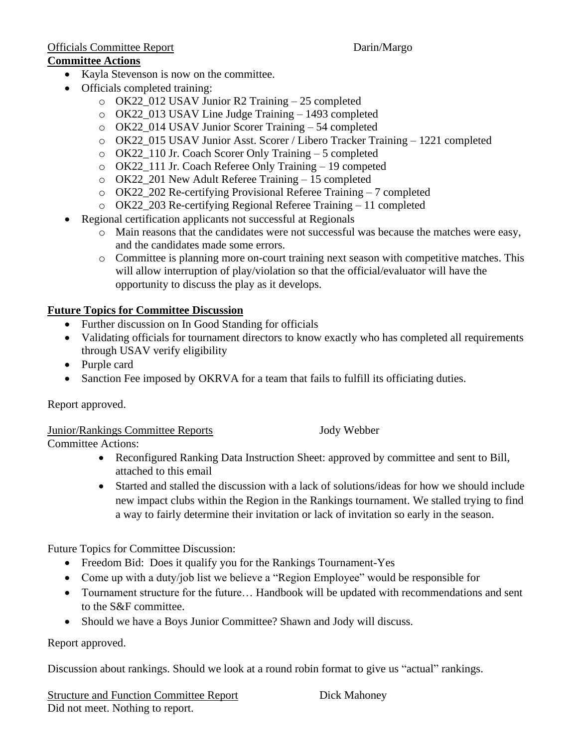# Officials Committee Report **Darin/Margo**

### **Committee Actions**

- Kayla Stevenson is now on the committee.
- Officials completed training:
	- $\degree$  OK22\_012 USAV Junior R2 Training 25 completed
	- o OK22\_013 USAV Line Judge Training 1493 completed
	- o OK22\_014 USAV Junior Scorer Training 54 completed
	- o OK22\_015 USAV Junior Asst. Scorer / Libero Tracker Training 1221 completed
	- o OK22\_110 Jr. Coach Scorer Only Training 5 completed
	- o OK22\_111 Jr. Coach Referee Only Training 19 competed
	- o OK22\_201 New Adult Referee Training 15 completed
	- o OK22\_202 Re-certifying Provisional Referee Training 7 completed
	- o OK22\_203 Re-certifying Regional Referee Training 11 completed
- Regional certification applicants not successful at Regionals
	- o Main reasons that the candidates were not successful was because the matches were easy, and the candidates made some errors.
	- o Committee is planning more on-court training next season with competitive matches. This will allow interruption of play/violation so that the official/evaluator will have the opportunity to discuss the play as it develops.

### **Future Topics for Committee Discussion**

- Further discussion on In Good Standing for officials
- Validating officials for tournament directors to know exactly who has completed all requirements through USAV verify eligibility
- Purple card
- Sanction Fee imposed by OKRVA for a team that fails to fulfill its officiating duties.

Report approved.

Junior/Rankings Committee Reports Jody Webber

Committee Actions:

- Reconfigured Ranking Data Instruction Sheet: approved by committee and sent to Bill, attached to this email
- Started and stalled the discussion with a lack of solutions/ideas for how we should include new impact clubs within the Region in the Rankings tournament. We stalled trying to find a way to fairly determine their invitation or lack of invitation so early in the season.

Future Topics for Committee Discussion:

- Freedom Bid: Does it qualify you for the Rankings Tournament-Yes
- Come up with a duty/job list we believe a "Region Employee" would be responsible for
- Tournament structure for the future... Handbook will be updated with recommendations and sent to the S&F committee.
- Should we have a Boys Junior Committee? Shawn and Jody will discuss.

Report approved.

Discussion about rankings. Should we look at a round robin format to give us "actual" rankings.

Structure and Function Committee Report Dick Mahoney Did not meet. Nothing to report.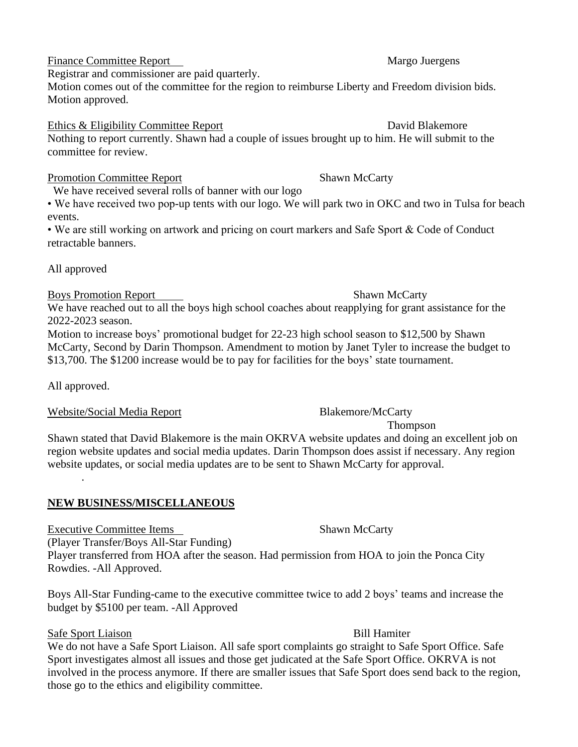## Finance Committee Report Nargo Juergens

Registrar and commissioner are paid quarterly.

Motion comes out of the committee for the region to reimburse Liberty and Freedom division bids. Motion approved.

## Ethics & Eligibility Committee Report David Blakemore

Nothing to report currently. Shawn had a couple of issues brought up to him. He will submit to the committee for review.

## Promotion Committee Report Shawn McCarty

We have received several rolls of banner with our logo

• We have received two pop-up tents with our logo. We will park two in OKC and two in Tulsa for beach events.

• We are still working on artwork and pricing on court markers and Safe Sport & Code of Conduct retractable banners.

All approved

## Boys Promotion Report Shawn McCarty

We have reached out to all the boys high school coaches about reapplying for grant assistance for the 2022-2023 season.

Motion to increase boys' promotional budget for 22-23 high school season to \$12,500 by Shawn McCarty, Second by Darin Thompson. Amendment to motion by Janet Tyler to increase the budget to \$13,700. The \$1200 increase would be to pay for facilities for the boys' state tournament.

All approved.

## Website/Social Media Report Blakemore/McCarty

Shawn stated that David Blakemore is the main OKRVA website updates and doing an excellent job on region website updates and social media updates. Darin Thompson does assist if necessary. Any region website updates, or social media updates are to be sent to Shawn McCarty for approval. .

## **NEW BUSINESS/MISCELLANEOUS**

Executive Committee Items Shawn McCarty (Player Transfer/Boys All-Star Funding) Player transferred from HOA after the season. Had permission from HOA to join the Ponca City Rowdies. -All Approved.

Boys All-Star Funding-came to the executive committee twice to add 2 boys' teams and increase the budget by \$5100 per team. -All Approved

# Safe Sport Liaison Bill Hamiter

We do not have a Safe Sport Liaison. All safe sport complaints go straight to Safe Sport Office. Safe Sport investigates almost all issues and those get judicated at the Safe Sport Office. OKRVA is not involved in the process anymore. If there are smaller issues that Safe Sport does send back to the region, those go to the ethics and eligibility committee.

Thompson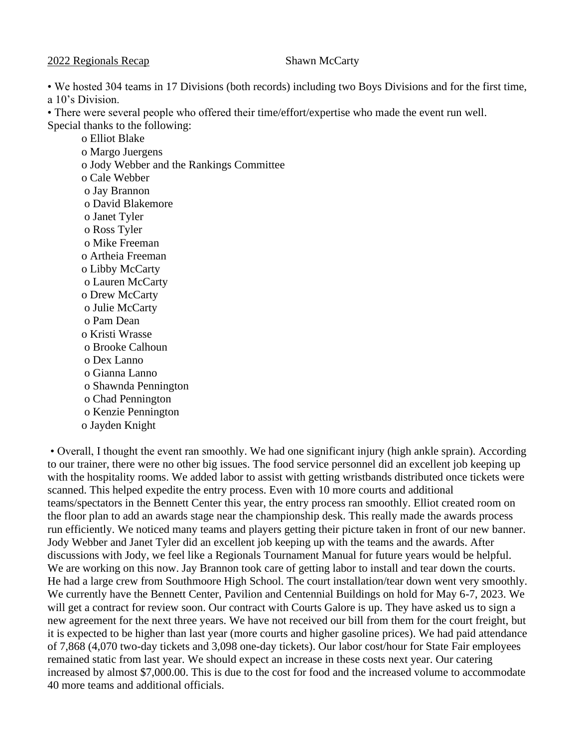2022 Regionals Recap Shawn McCarty

• We hosted 304 teams in 17 Divisions (both records) including two Boys Divisions and for the first time, a 10's Division.

• There were several people who offered their time/effort/expertise who made the event run well. Special thanks to the following:

o Elliot Blake o Margo Juergens o Jody Webber and the Rankings Committee o Cale Webber o Jay Brannon o David Blakemore o Janet Tyler o Ross Tyler o Mike Freeman o Artheia Freeman o Libby McCarty o Lauren McCarty o Drew McCarty o Julie McCarty o Pam Dean o Kristi Wrasse o Brooke Calhoun o Dex Lanno o Gianna Lanno o Shawnda Pennington o Chad Pennington o Kenzie Pennington o Jayden Knight

• Overall, I thought the event ran smoothly. We had one significant injury (high ankle sprain). According to our trainer, there were no other big issues. The food service personnel did an excellent job keeping up with the hospitality rooms. We added labor to assist with getting wristbands distributed once tickets were scanned. This helped expedite the entry process. Even with 10 more courts and additional teams/spectators in the Bennett Center this year, the entry process ran smoothly. Elliot created room on the floor plan to add an awards stage near the championship desk. This really made the awards process run efficiently. We noticed many teams and players getting their picture taken in front of our new banner. Jody Webber and Janet Tyler did an excellent job keeping up with the teams and the awards. After discussions with Jody, we feel like a Regionals Tournament Manual for future years would be helpful. We are working on this now. Jay Brannon took care of getting labor to install and tear down the courts. He had a large crew from Southmoore High School. The court installation/tear down went very smoothly. We currently have the Bennett Center, Pavilion and Centennial Buildings on hold for May 6-7, 2023. We will get a contract for review soon. Our contract with Courts Galore is up. They have asked us to sign a new agreement for the next three years. We have not received our bill from them for the court freight, but it is expected to be higher than last year (more courts and higher gasoline prices). We had paid attendance of 7,868 (4,070 two-day tickets and 3,098 one-day tickets). Our labor cost/hour for State Fair employees remained static from last year. We should expect an increase in these costs next year. Our catering increased by almost \$7,000.00. This is due to the cost for food and the increased volume to accommodate 40 more teams and additional officials.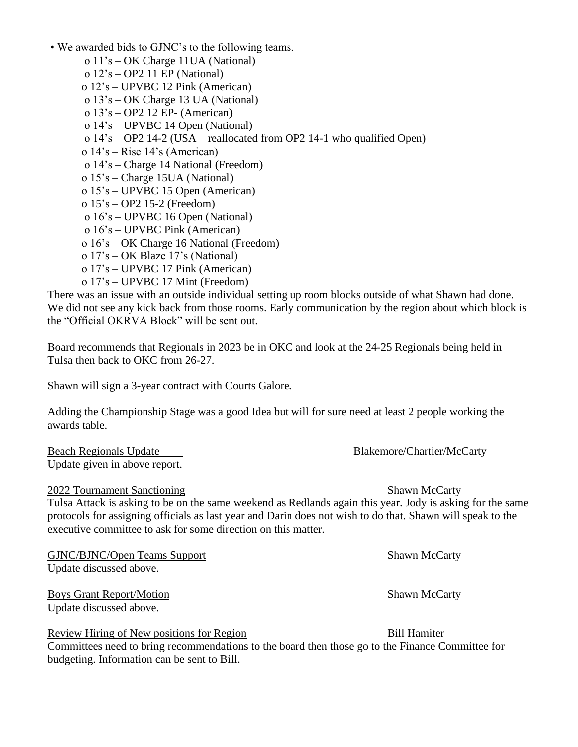- We awarded bids to GJNC's to the following teams.
	- o 11's OK Charge 11UA (National)
	- o 12's OP2 11 EP (National)
	- o 12's UPVBC 12 Pink (American)
	- o 13's OK Charge 13 UA (National)
	- o 13's OP2 12 EP- (American)
	- o 14's UPVBC 14 Open (National)
	- o 14's OP2 14-2 (USA reallocated from OP2 14-1 who qualified Open)
	- o 14's Rise 14's (American)
	- o 14's Charge 14 National (Freedom)
	- o 15's Charge 15UA (National)
	- o 15's UPVBC 15 Open (American)
	- o 15's OP2 15-2 (Freedom)
	- o 16's UPVBC 16 Open (National)
	- o 16's UPVBC Pink (American)
	- o 16's OK Charge 16 National (Freedom)
	- o 17's OK Blaze 17's (National)
	- o 17's UPVBC 17 Pink (American)
	- o 17's UPVBC 17 Mint (Freedom)

There was an issue with an outside individual setting up room blocks outside of what Shawn had done. We did not see any kick back from those rooms. Early communication by the region about which block is the "Official OKRVA Block" will be sent out.

Board recommends that Regionals in 2023 be in OKC and look at the 24-25 Regionals being held in Tulsa then back to OKC from 26-27.

Shawn will sign a 3-year contract with Courts Galore.

Adding the Championship Stage was a good Idea but will for sure need at least 2 people working the awards table.

Beach Regionals Update Blakemore/Chartier/McCarty Update given in above report.

### 2022 Tournament Sanctioning Shawn McCarty

Tulsa Attack is asking to be on the same weekend as Redlands again this year. Jody is asking for the same protocols for assigning officials as last year and Darin does not wish to do that. Shawn will speak to the executive committee to ask for some direction on this matter.

GJNC/BJNC/Open Teams Support Shawn McCarty Update discussed above.

Boys Grant Report/Motion Shawn McCarty Update discussed above.

Review Hiring of New positions for Region Bill Hamiter

Committees need to bring recommendations to the board then those go to the Finance Committee for budgeting. Information can be sent to Bill.